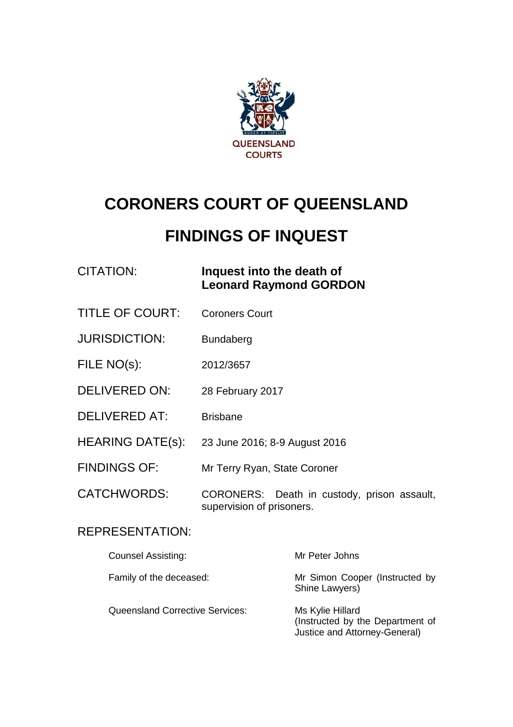

# **CORONERS COURT OF QUEENSLAND**

# **FINDINGS OF INQUEST**

# CITATION: **Inquest into the death of Leonard Raymond GORDON**

- TITLE OF COURT: Coroners Court
- JURISDICTION: Bundaberg
- FILE NO(s): 2012/3657
- DELIVERED ON: 28 February 2017
- DELIVERED AT: Brisbane
- HEARING DATE(s): 23 June 2016; 8-9 August 2016
- FINDINGS OF: Mr Terry Ryan, State Coroner
- CATCHWORDS: CORONERS: Death in custody, prison assault, supervision of prisoners.

# REPRESENTATION:

| <b>Counsel Assisting:</b>              | Mr Peter Johns                                                                        |
|----------------------------------------|---------------------------------------------------------------------------------------|
| Family of the deceased:                | Mr Simon Cooper (Instructed by<br>Shine Lawyers)                                      |
| <b>Queensland Corrective Services:</b> | Ms Kylie Hillard<br>(Instructed by the Department of<br>Justice and Attorney-General) |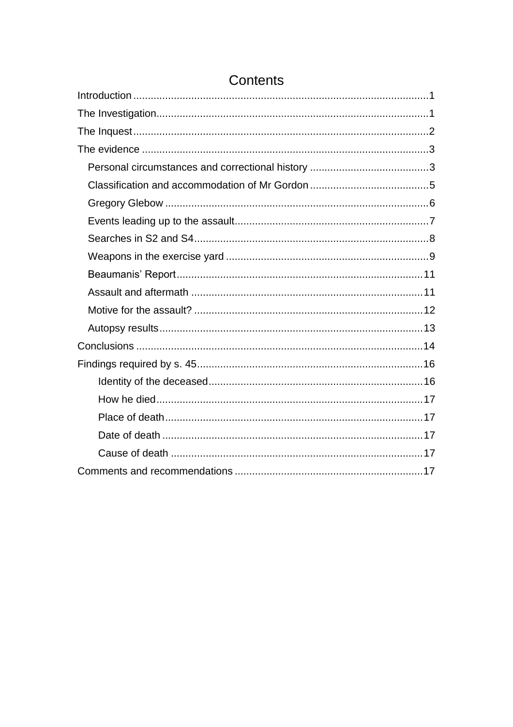# **Contents**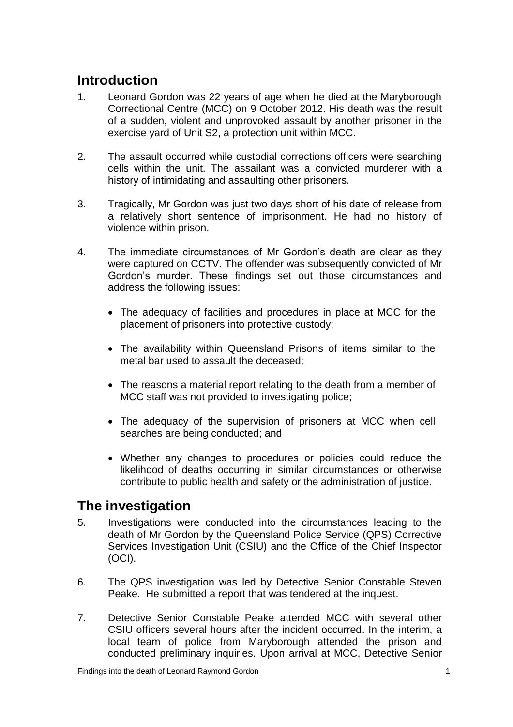# <span id="page-2-0"></span>**Introduction**

- 1. Leonard Gordon was 22 years of age when he died at the Maryborough Correctional Centre (MCC) on 9 October 2012. His death was the result of a sudden, violent and unprovoked assault by another prisoner in the exercise yard of Unit S2, a protection unit within MCC.
- 2. The assault occurred while custodial corrections officers were searching cells within the unit. The assailant was a convicted murderer with a history of intimidating and assaulting other prisoners.
- 3. Tragically, Mr Gordon was just two days short of his date of release from a relatively short sentence of imprisonment. He had no history of violence within prison.
- 4. The immediate circumstances of Mr Gordon's death are clear as they were captured on CCTV. The offender was subsequently convicted of Mr Gordon's murder. These findings set out those circumstances and address the following issues:
	- The adequacy of facilities and procedures in place at MCC for the placement of prisoners into protective custody;
	- The availability within Queensland Prisons of items similar to the metal bar used to assault the deceased;
	- The reasons a material report relating to the death from a member of MCC staff was not provided to investigating police;
	- The adequacy of the supervision of prisoners at MCC when cell searches are being conducted; and
	- Whether any changes to procedures or policies could reduce the likelihood of deaths occurring in similar circumstances or otherwise contribute to public health and safety or the administration of justice.

# <span id="page-2-1"></span>**The investigation**

- 5. Investigations were conducted into the circumstances leading to the death of Mr Gordon by the Queensland Police Service (QPS) Corrective Services Investigation Unit (CSIU) and the Office of the Chief Inspector (OCI).
- 6. The QPS investigation was led by Detective Senior Constable Steven Peake. He submitted a report that was tendered at the inquest.
- 7. Detective Senior Constable Peake attended MCC with several other CSIU officers several hours after the incident occurred. In the interim, a local team of police from Maryborough attended the prison and conducted preliminary inquiries. Upon arrival at MCC, Detective Senior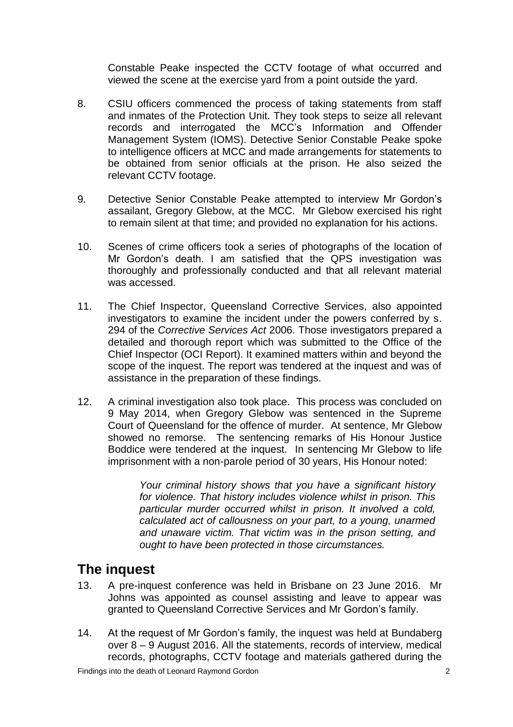Constable Peake inspected the CCTV footage of what occurred and viewed the scene at the exercise yard from a point outside the yard.

- 8. CSIU officers commenced the process of taking statements from staff and inmates of the Protection Unit. They took steps to seize all relevant records and interrogated the MCC's Information and Offender Management System (IOMS). Detective Senior Constable Peake spoke to intelligence officers at MCC and made arrangements for statements to be obtained from senior officials at the prison. He also seized the relevant CCTV footage.
- 9. Detective Senior Constable Peake attempted to interview Mr Gordon's assailant, Gregory Glebow, at the MCC. Mr Glebow exercised his right to remain silent at that time; and provided no explanation for his actions.
- 10. Scenes of crime officers took a series of photographs of the location of Mr Gordon's death. I am satisfied that the QPS investigation was thoroughly and professionally conducted and that all relevant material was accessed.
- 11. The Chief Inspector, Queensland Corrective Services, also appointed investigators to examine the incident under the powers conferred by s. 294 of the *Corrective Services Act* 2006. Those investigators prepared a detailed and thorough report which was submitted to the Office of the Chief Inspector (OCI Report). It examined matters within and beyond the scope of the inquest. The report was tendered at the inquest and was of assistance in the preparation of these findings.
- 12. A criminal investigation also took place. This process was concluded on 9 May 2014, when Gregory Glebow was sentenced in the Supreme Court of Queensland for the offence of murder. At sentence, Mr Glebow showed no remorse. The sentencing remarks of His Honour Justice Boddice were tendered at the inquest. In sentencing Mr Glebow to life imprisonment with a non-parole period of 30 years, His Honour noted:

*Your criminal history shows that you have a significant history for violence. That history includes violence whilst in prison. This particular murder occurred whilst in prison. It involved a cold, calculated act of callousness on your part, to a young, unarmed and unaware victim. That victim was in the prison setting, and ought to have been protected in those circumstances.*

# <span id="page-3-0"></span>**The inquest**

- 13. A pre-inquest conference was held in Brisbane on 23 June 2016. Mr Johns was appointed as counsel assisting and leave to appear was granted to Queensland Corrective Services and Mr Gordon's family.
- 14. At the request of Mr Gordon's family, the inquest was held at Bundaberg over 8 – 9 August 2016. All the statements, records of interview, medical records, photographs, CCTV footage and materials gathered during the

Findings into the death of Leonard Raymond Gordon 2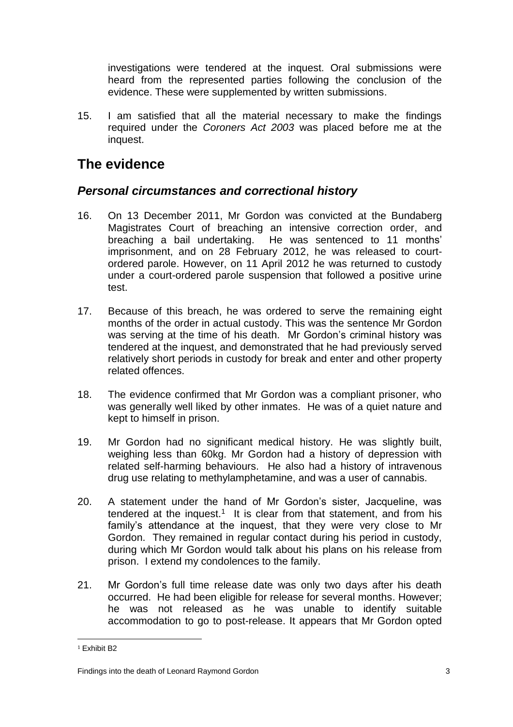investigations were tendered at the inquest. Oral submissions were heard from the represented parties following the conclusion of the evidence. These were supplemented by written submissions.

15. I am satisfied that all the material necessary to make the findings required under the *Coroners Act 2003* was placed before me at the inquest.

# <span id="page-4-0"></span>**The evidence**

# <span id="page-4-1"></span>*Personal circumstances and correctional history*

- 16. On 13 December 2011, Mr Gordon was convicted at the Bundaberg Magistrates Court of breaching an intensive correction order, and breaching a bail undertaking. He was sentenced to 11 months' imprisonment, and on 28 February 2012, he was released to courtordered parole. However, on 11 April 2012 he was returned to custody under a court-ordered parole suspension that followed a positive urine test.
- 17. Because of this breach, he was ordered to serve the remaining eight months of the order in actual custody. This was the sentence Mr Gordon was serving at the time of his death. Mr Gordon's criminal history was tendered at the inquest, and demonstrated that he had previously served relatively short periods in custody for break and enter and other property related offences.
- 18. The evidence confirmed that Mr Gordon was a compliant prisoner, who was generally well liked by other inmates. He was of a quiet nature and kept to himself in prison.
- 19. Mr Gordon had no significant medical history. He was slightly built, weighing less than 60kg. Mr Gordon had a history of depression with related self-harming behaviours. He also had a history of intravenous drug use relating to methylamphetamine, and was a user of cannabis.
- 20. A statement under the hand of Mr Gordon's sister, Jacqueline, was tendered at the inquest.<sup>1</sup> It is clear from that statement, and from his family's attendance at the inquest, that they were very close to Mr Gordon. They remained in regular contact during his period in custody, during which Mr Gordon would talk about his plans on his release from prison. I extend my condolences to the family.
- 21. Mr Gordon's full time release date was only two days after his death occurred. He had been eligible for release for several months. However; he was not released as he was unable to identify suitable accommodation to go to post-release. It appears that Mr Gordon opted

 $\overline{\phantom{a}}$ <sup>1</sup> Exhibit B2

Findings into the death of Leonard Raymond Gordon 3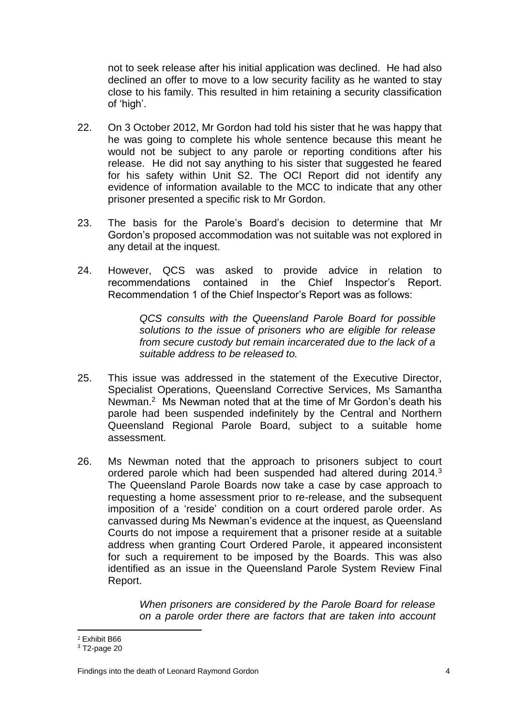not to seek release after his initial application was declined. He had also declined an offer to move to a low security facility as he wanted to stay close to his family. This resulted in him retaining a security classification of 'high'.

- 22. On 3 October 2012, Mr Gordon had told his sister that he was happy that he was going to complete his whole sentence because this meant he would not be subject to any parole or reporting conditions after his release. He did not say anything to his sister that suggested he feared for his safety within Unit S2. The OCI Report did not identify any evidence of information available to the MCC to indicate that any other prisoner presented a specific risk to Mr Gordon.
- 23. The basis for the Parole's Board's decision to determine that Mr Gordon's proposed accommodation was not suitable was not explored in any detail at the inquest.
- 24. However, QCS was asked to provide advice in relation to recommendations contained in the Chief Inspector's Report. Recommendation 1 of the Chief Inspector's Report was as follows:

*QCS consults with the Queensland Parole Board for possible solutions to the issue of prisoners who are eligible for release from secure custody but remain incarcerated due to the lack of a suitable address to be released to.*

- 25. This issue was addressed in the statement of the Executive Director, Specialist Operations, Queensland Corrective Services, Ms Samantha Newman.<sup>2</sup> Ms Newman noted that at the time of Mr Gordon's death his parole had been suspended indefinitely by the Central and Northern Queensland Regional Parole Board, subject to a suitable home assessment.
- 26. Ms Newman noted that the approach to prisoners subject to court ordered parole which had been suspended had altered during 2014.<sup>3</sup> The Queensland Parole Boards now take a case by case approach to requesting a home assessment prior to re-release, and the subsequent imposition of a 'reside' condition on a court ordered parole order. As canvassed during Ms Newman's evidence at the inquest, as Queensland Courts do not impose a requirement that a prisoner reside at a suitable address when granting Court Ordered Parole, it appeared inconsistent for such a requirement to be imposed by the Boards. This was also identified as an issue in the Queensland Parole System Review Final Report.

*When prisoners are considered by the Parole Board for release on a parole order there are factors that are taken into account* 

Findings into the death of Leonard Raymond Gordon 4

 $\overline{\phantom{a}}$ <sup>2</sup> Exhibit B66

<sup>3</sup> T2-page 20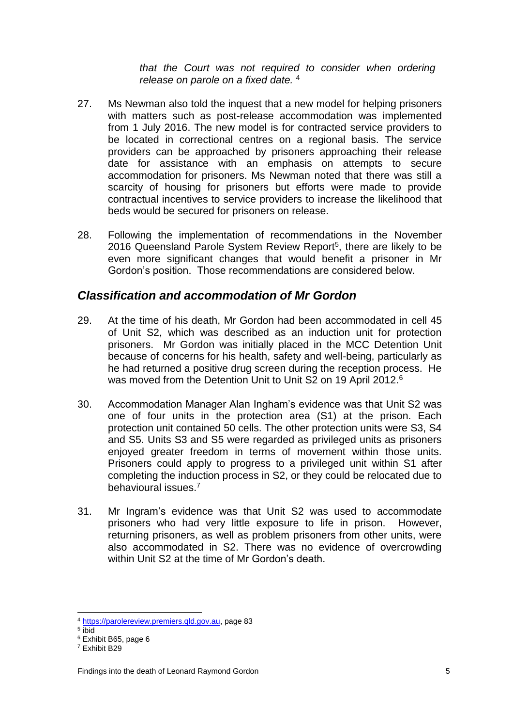*that the Court was not required to consider when ordering release on parole on a fixed date.* <sup>4</sup>

- 27. Ms Newman also told the inquest that a new model for helping prisoners with matters such as post-release accommodation was implemented from 1 July 2016. The new model is for contracted service providers to be located in correctional centres on a regional basis. The service providers can be approached by prisoners approaching their release date for assistance with an emphasis on attempts to secure accommodation for prisoners. Ms Newman noted that there was still a scarcity of housing for prisoners but efforts were made to provide contractual incentives to service providers to increase the likelihood that beds would be secured for prisoners on release.
- 28. Following the implementation of recommendations in the November 2016 Queensland Parole System Review Report<sup>5</sup>, there are likely to be even more significant changes that would benefit a prisoner in Mr Gordon's position. Those recommendations are considered below.

### <span id="page-6-0"></span>*Classification and accommodation of Mr Gordon*

- 29. At the time of his death, Mr Gordon had been accommodated in cell 45 of Unit S2, which was described as an induction unit for protection prisoners. Mr Gordon was initially placed in the MCC Detention Unit because of concerns for his health, safety and well-being, particularly as he had returned a positive drug screen during the reception process. He was moved from the Detention Unit to Unit S2 on 19 April 2012.<sup>6</sup>
- 30. Accommodation Manager Alan Ingham's evidence was that Unit S2 was one of four units in the protection area (S1) at the prison. Each protection unit contained 50 cells. The other protection units were S3, S4 and S5. Units S3 and S5 were regarded as privileged units as prisoners enjoyed greater freedom in terms of movement within those units. Prisoners could apply to progress to a privileged unit within S1 after completing the induction process in S2, or they could be relocated due to behavioural issues.<sup>7</sup>
- 31. Mr Ingram's evidence was that Unit S2 was used to accommodate prisoners who had very little exposure to life in prison. However, returning prisoners, as well as problem prisoners from other units, were also accommodated in S2. There was no evidence of overcrowding within Unit S2 at the time of Mr Gordon's death.

<sup>4</sup> [https://parolereview.premiers.qld.gov.au,](https://parolereview.premiers.qld.gov.au/) page 83

<sup>5</sup> ibid

<sup>6</sup> Exhibit B65, page 6

<sup>7</sup> Exhibit B29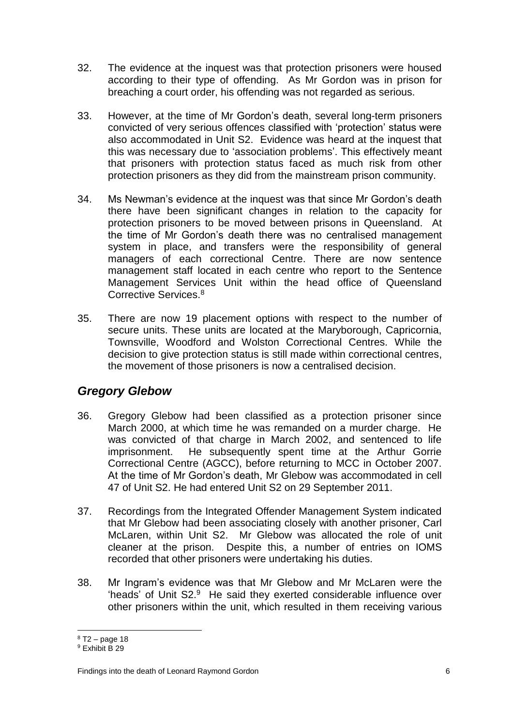- 32. The evidence at the inquest was that protection prisoners were housed according to their type of offending. As Mr Gordon was in prison for breaching a court order, his offending was not regarded as serious.
- 33. However, at the time of Mr Gordon's death, several long-term prisoners convicted of very serious offences classified with 'protection' status were also accommodated in Unit S2. Evidence was heard at the inquest that this was necessary due to 'association problems'. This effectively meant that prisoners with protection status faced as much risk from other protection prisoners as they did from the mainstream prison community.
- 34. Ms Newman's evidence at the inquest was that since Mr Gordon's death there have been significant changes in relation to the capacity for protection prisoners to be moved between prisons in Queensland. At the time of Mr Gordon's death there was no centralised management system in place, and transfers were the responsibility of general managers of each correctional Centre. There are now sentence management staff located in each centre who report to the Sentence Management Services Unit within the head office of Queensland Corrective Services.<sup>8</sup>
- 35. There are now 19 placement options with respect to the number of secure units. These units are located at the Maryborough, Capricornia, Townsville, Woodford and Wolston Correctional Centres. While the decision to give protection status is still made within correctional centres, the movement of those prisoners is now a centralised decision.

# <span id="page-7-0"></span>*Gregory Glebow*

- 36. Gregory Glebow had been classified as a protection prisoner since March 2000, at which time he was remanded on a murder charge. He was convicted of that charge in March 2002, and sentenced to life imprisonment. He subsequently spent time at the Arthur Gorrie Correctional Centre (AGCC), before returning to MCC in October 2007. At the time of Mr Gordon's death, Mr Glebow was accommodated in cell 47 of Unit S2. He had entered Unit S2 on 29 September 2011.
- 37. Recordings from the Integrated Offender Management System indicated that Mr Glebow had been associating closely with another prisoner, Carl McLaren, within Unit S2. Mr Glebow was allocated the role of unit cleaner at the prison. Despite this, a number of entries on IOMS recorded that other prisoners were undertaking his duties.
- 38. Mr Ingram's evidence was that Mr Glebow and Mr McLaren were the 'heads' of Unit S2.<sup>9</sup> He said they exerted considerable influence over other prisoners within the unit, which resulted in them receiving various

 $8$  T2 – page 18

<sup>9</sup> Exhibit B 29

Findings into the death of Leonard Raymond Gordon 6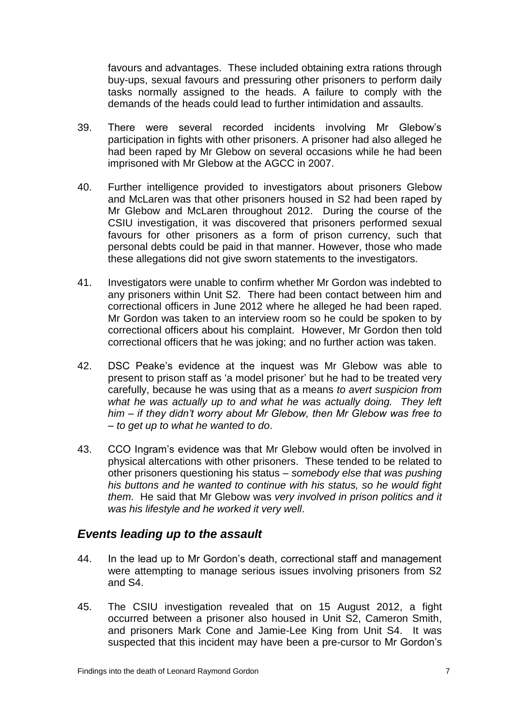favours and advantages. These included obtaining extra rations through buy-ups, sexual favours and pressuring other prisoners to perform daily tasks normally assigned to the heads. A failure to comply with the demands of the heads could lead to further intimidation and assaults.

- 39. There were several recorded incidents involving Mr Glebow's participation in fights with other prisoners. A prisoner had also alleged he had been raped by Mr Glebow on several occasions while he had been imprisoned with Mr Glebow at the AGCC in 2007.
- 40. Further intelligence provided to investigators about prisoners Glebow and McLaren was that other prisoners housed in S2 had been raped by Mr Glebow and McLaren throughout 2012. During the course of the CSIU investigation, it was discovered that prisoners performed sexual favours for other prisoners as a form of prison currency, such that personal debts could be paid in that manner. However, those who made these allegations did not give sworn statements to the investigators.
- 41. Investigators were unable to confirm whether Mr Gordon was indebted to any prisoners within Unit S2. There had been contact between him and correctional officers in June 2012 where he alleged he had been raped. Mr Gordon was taken to an interview room so he could be spoken to by correctional officers about his complaint. However, Mr Gordon then told correctional officers that he was joking; and no further action was taken.
- 42. DSC Peake's evidence at the inquest was Mr Glebow was able to present to prison staff as 'a model prisoner' but he had to be treated very carefully, because he was using that as a means *to avert suspicion from what he was actually up to and what he was actually doing. They left him – if they didn't worry about Mr Glebow, then Mr Glebow was free to – to get up to what he wanted to do*.
- 43. CCO Ingram's evidence was that Mr Glebow would often be involved in physical altercations with other prisoners. These tended to be related to other prisoners questioning his status – *somebody else that was pushing his buttons and he wanted to continue with his status, so he would fight them*. He said that Mr Glebow was *very involved in prison politics and it was his lifestyle and he worked it very well*.

### <span id="page-8-0"></span>*Events leading up to the assault*

- 44. In the lead up to Mr Gordon's death, correctional staff and management were attempting to manage serious issues involving prisoners from S2 and S4.
- 45. The CSIU investigation revealed that on 15 August 2012, a fight occurred between a prisoner also housed in Unit S2, Cameron Smith, and prisoners Mark Cone and Jamie-Lee King from Unit S4. It was suspected that this incident may have been a pre-cursor to Mr Gordon's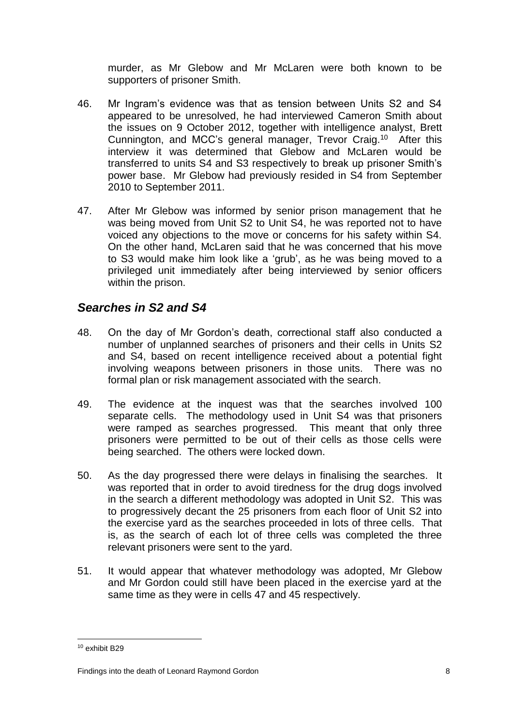murder, as Mr Glebow and Mr McLaren were both known to be supporters of prisoner Smith.

- 46. Mr Ingram's evidence was that as tension between Units S2 and S4 appeared to be unresolved, he had interviewed Cameron Smith about the issues on 9 October 2012, together with intelligence analyst, Brett Cunnington, and MCC's general manager, Trevor Craig. <sup>10</sup> After this interview it was determined that Glebow and McLaren would be transferred to units S4 and S3 respectively to break up prisoner Smith's power base. Mr Glebow had previously resided in S4 from September 2010 to September 2011.
- 47. After Mr Glebow was informed by senior prison management that he was being moved from Unit S2 to Unit S4, he was reported not to have voiced any objections to the move or concerns for his safety within S4. On the other hand, McLaren said that he was concerned that his move to S3 would make him look like a 'grub', as he was being moved to a privileged unit immediately after being interviewed by senior officers within the prison.

# <span id="page-9-0"></span>*Searches in S2 and S4*

- 48. On the day of Mr Gordon's death, correctional staff also conducted a number of unplanned searches of prisoners and their cells in Units S2 and S4, based on recent intelligence received about a potential fight involving weapons between prisoners in those units. There was no formal plan or risk management associated with the search.
- 49. The evidence at the inquest was that the searches involved 100 separate cells. The methodology used in Unit S4 was that prisoners were ramped as searches progressed. This meant that only three prisoners were permitted to be out of their cells as those cells were being searched. The others were locked down.
- 50. As the day progressed there were delays in finalising the searches. It was reported that in order to avoid tiredness for the drug dogs involved in the search a different methodology was adopted in Unit S2. This was to progressively decant the 25 prisoners from each floor of Unit S2 into the exercise yard as the searches proceeded in lots of three cells. That is, as the search of each lot of three cells was completed the three relevant prisoners were sent to the yard.
- 51. It would appear that whatever methodology was adopted, Mr Glebow and Mr Gordon could still have been placed in the exercise yard at the same time as they were in cells 47 and 45 respectively.

<sup>10</sup> exhibit B29

Findings into the death of Leonard Raymond Gordon 8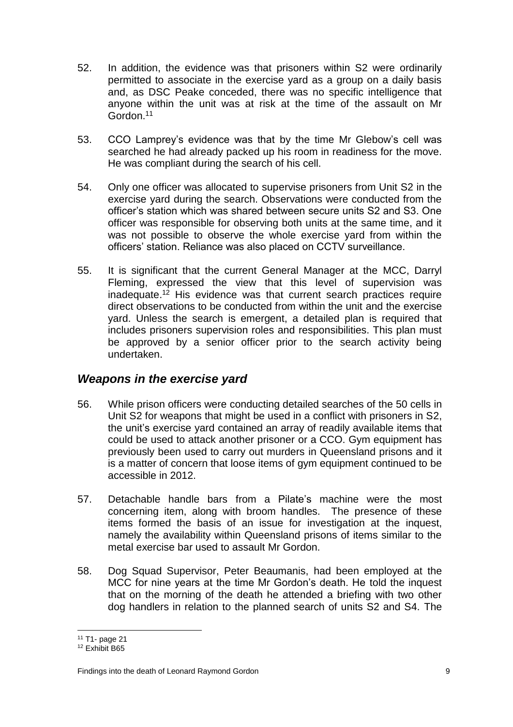- 52. In addition, the evidence was that prisoners within S2 were ordinarily permitted to associate in the exercise yard as a group on a daily basis and, as DSC Peake conceded, there was no specific intelligence that anyone within the unit was at risk at the time of the assault on Mr Gordon.<sup>11</sup>
- 53. CCO Lamprey's evidence was that by the time Mr Glebow's cell was searched he had already packed up his room in readiness for the move. He was compliant during the search of his cell.
- 54. Only one officer was allocated to supervise prisoners from Unit S2 in the exercise yard during the search. Observations were conducted from the officer's station which was shared between secure units S2 and S3. One officer was responsible for observing both units at the same time, and it was not possible to observe the whole exercise yard from within the officers' station. Reliance was also placed on CCTV surveillance.
- 55. It is significant that the current General Manager at the MCC, Darryl Fleming, expressed the view that this level of supervision was inadequate. <sup>12</sup> His evidence was that current search practices require direct observations to be conducted from within the unit and the exercise yard. Unless the search is emergent, a detailed plan is required that includes prisoners supervision roles and responsibilities. This plan must be approved by a senior officer prior to the search activity being undertaken.

### <span id="page-10-0"></span>*Weapons in the exercise yard*

- 56. While prison officers were conducting detailed searches of the 50 cells in Unit S2 for weapons that might be used in a conflict with prisoners in S2, the unit's exercise yard contained an array of readily available items that could be used to attack another prisoner or a CCO. Gym equipment has previously been used to carry out murders in Queensland prisons and it is a matter of concern that loose items of gym equipment continued to be accessible in 2012.
- 57. Detachable handle bars from a Pilate's machine were the most concerning item, along with broom handles. The presence of these items formed the basis of an issue for investigation at the inquest, namely the availability within Queensland prisons of items similar to the metal exercise bar used to assault Mr Gordon.
- 58. Dog Squad Supervisor, Peter Beaumanis, had been employed at the MCC for nine years at the time Mr Gordon's death. He told the inquest that on the morning of the death he attended a briefing with two other dog handlers in relation to the planned search of units S2 and S4. The

<sup>11</sup> T1- page 21

<sup>12</sup> Exhibit B65

Findings into the death of Leonard Raymond Gordon 9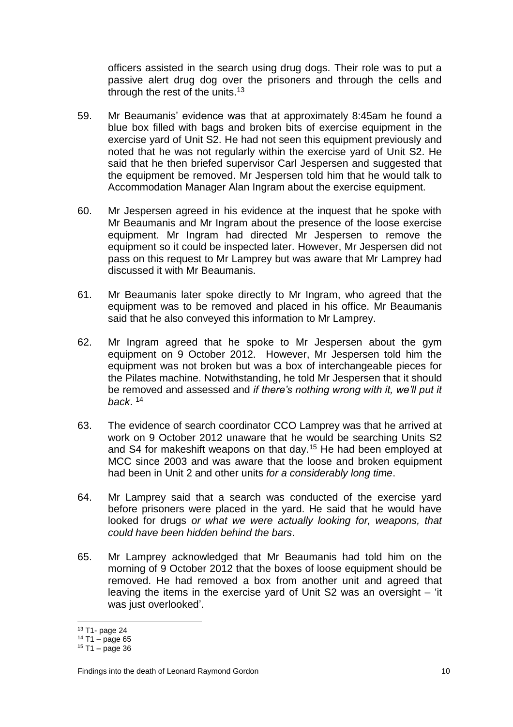officers assisted in the search using drug dogs. Their role was to put a passive alert drug dog over the prisoners and through the cells and through the rest of the units. 13

- 59. Mr Beaumanis' evidence was that at approximately 8:45am he found a blue box filled with bags and broken bits of exercise equipment in the exercise yard of Unit S2. He had not seen this equipment previously and noted that he was not regularly within the exercise yard of Unit S2. He said that he then briefed supervisor Carl Jespersen and suggested that the equipment be removed. Mr Jespersen told him that he would talk to Accommodation Manager Alan Ingram about the exercise equipment.
- 60. Mr Jespersen agreed in his evidence at the inquest that he spoke with Mr Beaumanis and Mr Ingram about the presence of the loose exercise equipment. Mr Ingram had directed Mr Jespersen to remove the equipment so it could be inspected later. However, Mr Jespersen did not pass on this request to Mr Lamprey but was aware that Mr Lamprey had discussed it with Mr Beaumanis.
- 61. Mr Beaumanis later spoke directly to Mr Ingram, who agreed that the equipment was to be removed and placed in his office. Mr Beaumanis said that he also conveyed this information to Mr Lamprey.
- 62. Mr Ingram agreed that he spoke to Mr Jespersen about the gym equipment on 9 October 2012. However, Mr Jespersen told him the equipment was not broken but was a box of interchangeable pieces for the Pilates machine. Notwithstanding, he told Mr Jespersen that it should be removed and assessed and *if there's nothing wrong with it, we'll put it back*. 14
- 63. The evidence of search coordinator CCO Lamprey was that he arrived at work on 9 October 2012 unaware that he would be searching Units S2 and S4 for makeshift weapons on that day.<sup>15</sup> He had been employed at MCC since 2003 and was aware that the loose and broken equipment had been in Unit 2 and other units *for a considerably long time*.
- 64. Mr Lamprey said that a search was conducted of the exercise yard before prisoners were placed in the yard. He said that he would have looked for drugs *or what we were actually looking for, weapons, that could have been hidden behind the bars*.
- 65. Mr Lamprey acknowledged that Mr Beaumanis had told him on the morning of 9 October 2012 that the boxes of loose equipment should be removed. He had removed a box from another unit and agreed that leaving the items in the exercise yard of Unit S2 was an oversight – 'it was just overlooked'.

<sup>13</sup> T1- page 24

<sup>14</sup> T1 – page 65

<sup>15</sup> T1 – page 36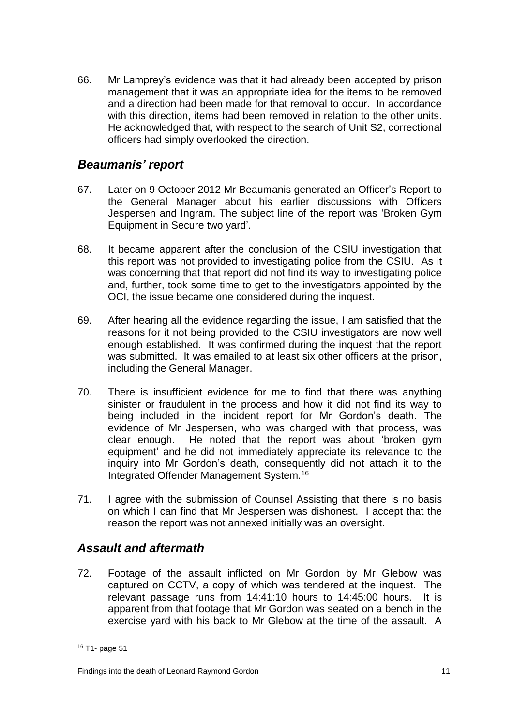66. Mr Lamprey's evidence was that it had already been accepted by prison management that it was an appropriate idea for the items to be removed and a direction had been made for that removal to occur. In accordance with this direction, items had been removed in relation to the other units. He acknowledged that, with respect to the search of Unit S2, correctional officers had simply overlooked the direction.

### <span id="page-12-0"></span>*Beaumanis' report*

- 67. Later on 9 October 2012 Mr Beaumanis generated an Officer's Report to the General Manager about his earlier discussions with Officers Jespersen and Ingram. The subject line of the report was 'Broken Gym Equipment in Secure two yard'.
- 68. It became apparent after the conclusion of the CSIU investigation that this report was not provided to investigating police from the CSIU. As it was concerning that that report did not find its way to investigating police and, further, took some time to get to the investigators appointed by the OCI, the issue became one considered during the inquest.
- 69. After hearing all the evidence regarding the issue, I am satisfied that the reasons for it not being provided to the CSIU investigators are now well enough established. It was confirmed during the inquest that the report was submitted. It was emailed to at least six other officers at the prison, including the General Manager.
- 70. There is insufficient evidence for me to find that there was anything sinister or fraudulent in the process and how it did not find its way to being included in the incident report for Mr Gordon's death. The evidence of Mr Jespersen, who was charged with that process, was clear enough. He noted that the report was about 'broken gym equipment' and he did not immediately appreciate its relevance to the inquiry into Mr Gordon's death, consequently did not attach it to the Integrated Offender Management System.<sup>16</sup>
- 71. I agree with the submission of Counsel Assisting that there is no basis on which I can find that Mr Jespersen was dishonest. I accept that the reason the report was not annexed initially was an oversight.

### <span id="page-12-1"></span>*Assault and aftermath*

72. Footage of the assault inflicted on Mr Gordon by Mr Glebow was captured on CCTV, a copy of which was tendered at the inquest. The relevant passage runs from 14:41:10 hours to 14:45:00 hours. It is apparent from that footage that Mr Gordon was seated on a bench in the exercise yard with his back to Mr Glebow at the time of the assault. A

 $\overline{\phantom{a}}$ 

#### Findings into the death of Leonard Raymond Gordon 11 and 11 and 11 and 11 and 11 and 11 and 11 and 11 and 11 and 11 and 11 and 11 and 11 and 11 and 11 and 11 and 11 and 11 and 11 and 11 and 11 and 11 and 12 and 12 and 12 a

<sup>16</sup> T1- page 51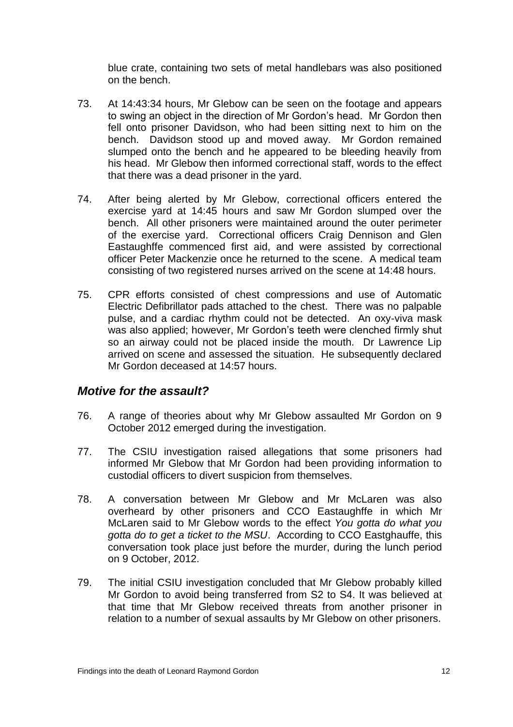blue crate, containing two sets of metal handlebars was also positioned on the bench.

- 73. At 14:43:34 hours, Mr Glebow can be seen on the footage and appears to swing an object in the direction of Mr Gordon's head. Mr Gordon then fell onto prisoner Davidson, who had been sitting next to him on the bench. Davidson stood up and moved away. Mr Gordon remained slumped onto the bench and he appeared to be bleeding heavily from his head. Mr Glebow then informed correctional staff, words to the effect that there was a dead prisoner in the yard.
- 74. After being alerted by Mr Glebow, correctional officers entered the exercise yard at 14:45 hours and saw Mr Gordon slumped over the bench. All other prisoners were maintained around the outer perimeter of the exercise yard. Correctional officers Craig Dennison and Glen Eastaughffe commenced first aid, and were assisted by correctional officer Peter Mackenzie once he returned to the scene. A medical team consisting of two registered nurses arrived on the scene at 14:48 hours.
- 75. CPR efforts consisted of chest compressions and use of Automatic Electric Defibrillator pads attached to the chest. There was no palpable pulse, and a cardiac rhythm could not be detected. An oxy-viva mask was also applied; however, Mr Gordon's teeth were clenched firmly shut so an airway could not be placed inside the mouth. Dr Lawrence Lip arrived on scene and assessed the situation. He subsequently declared Mr Gordon deceased at 14:57 hours.

### <span id="page-13-0"></span>*Motive for the assault?*

- 76. A range of theories about why Mr Glebow assaulted Mr Gordon on 9 October 2012 emerged during the investigation.
- 77. The CSIU investigation raised allegations that some prisoners had informed Mr Glebow that Mr Gordon had been providing information to custodial officers to divert suspicion from themselves.
- 78. A conversation between Mr Glebow and Mr McLaren was also overheard by other prisoners and CCO Eastaughffe in which Mr McLaren said to Mr Glebow words to the effect *You gotta do what you gotta do to get a ticket to the MSU*. According to CCO Eastghauffe, this conversation took place just before the murder, during the lunch period on 9 October, 2012.
- 79. The initial CSIU investigation concluded that Mr Glebow probably killed Mr Gordon to avoid being transferred from S2 to S4. It was believed at that time that Mr Glebow received threats from another prisoner in relation to a number of sexual assaults by Mr Glebow on other prisoners.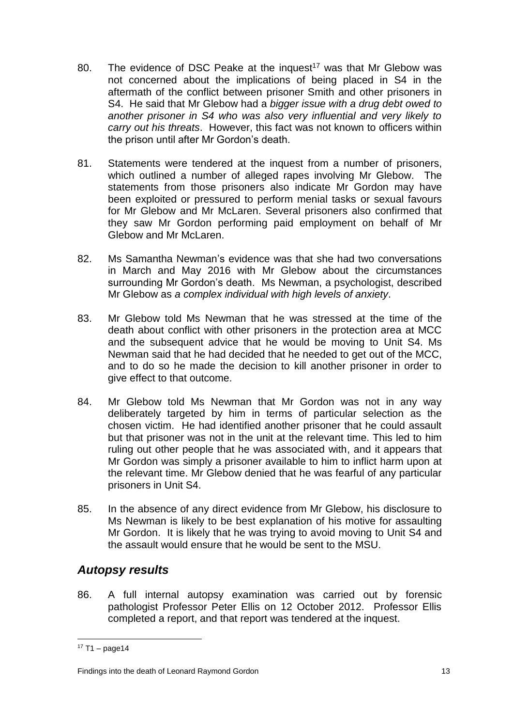- 80. The evidence of DSC Peake at the inquest<sup>17</sup> was that Mr Glebow was not concerned about the implications of being placed in S4 in the aftermath of the conflict between prisoner Smith and other prisoners in S4. He said that Mr Glebow had a *bigger issue with a drug debt owed to another prisoner in S4 who was also very influential and very likely to carry out his threats*. However, this fact was not known to officers within the prison until after Mr Gordon's death.
- 81. Statements were tendered at the inquest from a number of prisoners, which outlined a number of alleged rapes involving Mr Glebow. The statements from those prisoners also indicate Mr Gordon may have been exploited or pressured to perform menial tasks or sexual favours for Mr Glebow and Mr McLaren. Several prisoners also confirmed that they saw Mr Gordon performing paid employment on behalf of Mr Glebow and Mr McLaren.
- 82. Ms Samantha Newman's evidence was that she had two conversations in March and May 2016 with Mr Glebow about the circumstances surrounding Mr Gordon's death. Ms Newman, a psychologist, described Mr Glebow as *a complex individual with high levels of anxiety*.
- 83. Mr Glebow told Ms Newman that he was stressed at the time of the death about conflict with other prisoners in the protection area at MCC and the subsequent advice that he would be moving to Unit S4. Ms Newman said that he had decided that he needed to get out of the MCC, and to do so he made the decision to kill another prisoner in order to give effect to that outcome.
- 84. Mr Glebow told Ms Newman that Mr Gordon was not in any way deliberately targeted by him in terms of particular selection as the chosen victim. He had identified another prisoner that he could assault but that prisoner was not in the unit at the relevant time. This led to him ruling out other people that he was associated with, and it appears that Mr Gordon was simply a prisoner available to him to inflict harm upon at the relevant time. Mr Glebow denied that he was fearful of any particular prisoners in Unit S4.
- 85. In the absence of any direct evidence from Mr Glebow, his disclosure to Ms Newman is likely to be best explanation of his motive for assaulting Mr Gordon. It is likely that he was trying to avoid moving to Unit S4 and the assault would ensure that he would be sent to the MSU.

### <span id="page-14-0"></span>*Autopsy results*

86. A full internal autopsy examination was carried out by forensic pathologist Professor Peter Ellis on 12 October 2012. Professor Ellis completed a report, and that report was tendered at the inquest.

 $17 T1 - page14$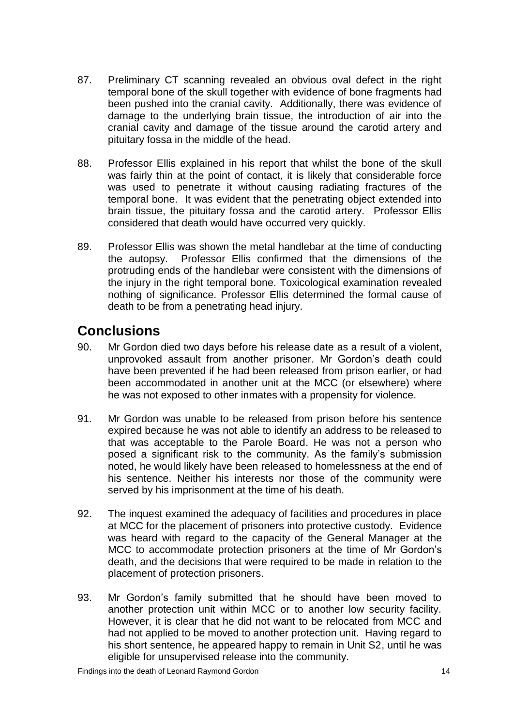- 87. Preliminary CT scanning revealed an obvious oval defect in the right temporal bone of the skull together with evidence of bone fragments had been pushed into the cranial cavity. Additionally, there was evidence of damage to the underlying brain tissue, the introduction of air into the cranial cavity and damage of the tissue around the carotid artery and pituitary fossa in the middle of the head.
- 88. Professor Ellis explained in his report that whilst the bone of the skull was fairly thin at the point of contact, it is likely that considerable force was used to penetrate it without causing radiating fractures of the temporal bone. It was evident that the penetrating object extended into brain tissue, the pituitary fossa and the carotid artery. Professor Ellis considered that death would have occurred very quickly.
- 89. Professor Ellis was shown the metal handlebar at the time of conducting the autopsy. Professor Ellis confirmed that the dimensions of the protruding ends of the handlebar were consistent with the dimensions of the injury in the right temporal bone. Toxicological examination revealed nothing of significance. Professor Ellis determined the formal cause of death to be from a penetrating head injury.

# <span id="page-15-0"></span>**Conclusions**

- 90. Mr Gordon died two days before his release date as a result of a violent, unprovoked assault from another prisoner. Mr Gordon's death could have been prevented if he had been released from prison earlier, or had been accommodated in another unit at the MCC (or elsewhere) where he was not exposed to other inmates with a propensity for violence.
- 91. Mr Gordon was unable to be released from prison before his sentence expired because he was not able to identify an address to be released to that was acceptable to the Parole Board. He was not a person who posed a significant risk to the community. As the family's submission noted, he would likely have been released to homelessness at the end of his sentence. Neither his interests nor those of the community were served by his imprisonment at the time of his death.
- 92. The inquest examined the adequacy of facilities and procedures in place at MCC for the placement of prisoners into protective custody. Evidence was heard with regard to the capacity of the General Manager at the MCC to accommodate protection prisoners at the time of Mr Gordon's death, and the decisions that were required to be made in relation to the placement of protection prisoners.
- 93. Mr Gordon's family submitted that he should have been moved to another protection unit within MCC or to another low security facility. However, it is clear that he did not want to be relocated from MCC and had not applied to be moved to another protection unit. Having regard to his short sentence, he appeared happy to remain in Unit S2, until he was eligible for unsupervised release into the community.

Findings into the death of Leonard Raymond Gordon 14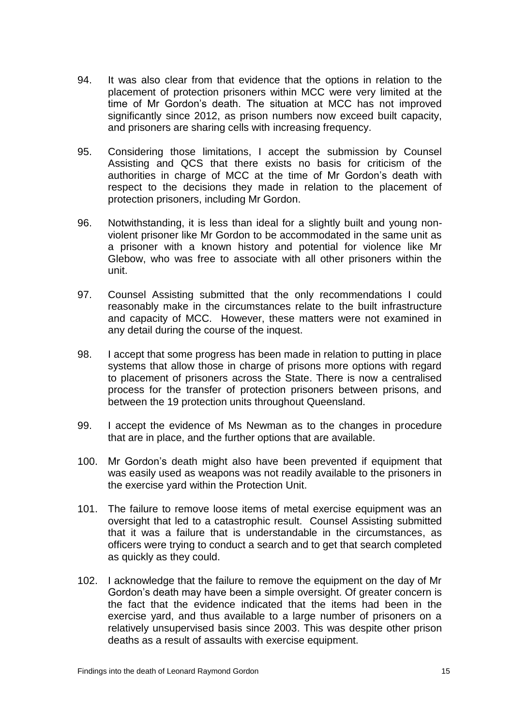- 94. It was also clear from that evidence that the options in relation to the placement of protection prisoners within MCC were very limited at the time of Mr Gordon's death. The situation at MCC has not improved significantly since 2012, as prison numbers now exceed built capacity, and prisoners are sharing cells with increasing frequency.
- 95. Considering those limitations, I accept the submission by Counsel Assisting and QCS that there exists no basis for criticism of the authorities in charge of MCC at the time of Mr Gordon's death with respect to the decisions they made in relation to the placement of protection prisoners, including Mr Gordon.
- 96. Notwithstanding, it is less than ideal for a slightly built and young nonviolent prisoner like Mr Gordon to be accommodated in the same unit as a prisoner with a known history and potential for violence like Mr Glebow, who was free to associate with all other prisoners within the unit.
- 97. Counsel Assisting submitted that the only recommendations I could reasonably make in the circumstances relate to the built infrastructure and capacity of MCC. However, these matters were not examined in any detail during the course of the inquest.
- 98. I accept that some progress has been made in relation to putting in place systems that allow those in charge of prisons more options with regard to placement of prisoners across the State. There is now a centralised process for the transfer of protection prisoners between prisons, and between the 19 protection units throughout Queensland.
- 99. I accept the evidence of Ms Newman as to the changes in procedure that are in place, and the further options that are available.
- 100. Mr Gordon's death might also have been prevented if equipment that was easily used as weapons was not readily available to the prisoners in the exercise yard within the Protection Unit.
- 101. The failure to remove loose items of metal exercise equipment was an oversight that led to a catastrophic result. Counsel Assisting submitted that it was a failure that is understandable in the circumstances, as officers were trying to conduct a search and to get that search completed as quickly as they could.
- 102. I acknowledge that the failure to remove the equipment on the day of Mr Gordon's death may have been a simple oversight. Of greater concern is the fact that the evidence indicated that the items had been in the exercise yard, and thus available to a large number of prisoners on a relatively unsupervised basis since 2003. This was despite other prison deaths as a result of assaults with exercise equipment.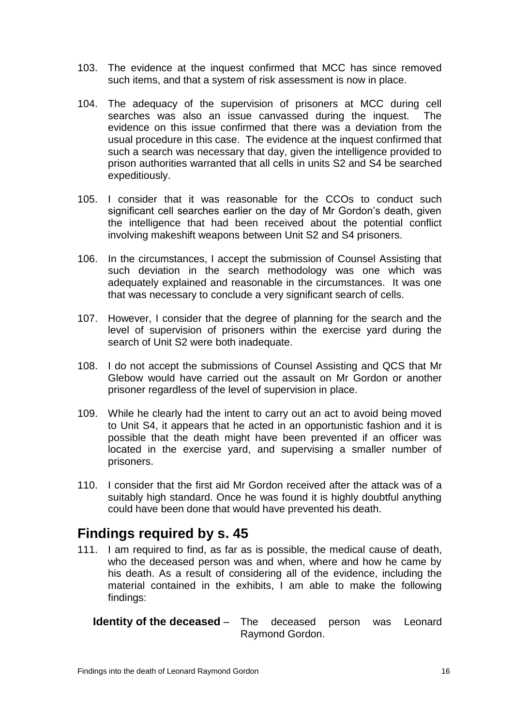- 103. The evidence at the inquest confirmed that MCC has since removed such items, and that a system of risk assessment is now in place.
- 104. The adequacy of the supervision of prisoners at MCC during cell searches was also an issue canvassed during the inquest. The evidence on this issue confirmed that there was a deviation from the usual procedure in this case. The evidence at the inquest confirmed that such a search was necessary that day, given the intelligence provided to prison authorities warranted that all cells in units S2 and S4 be searched expeditiously.
- 105. I consider that it was reasonable for the CCOs to conduct such significant cell searches earlier on the day of Mr Gordon's death, given the intelligence that had been received about the potential conflict involving makeshift weapons between Unit S2 and S4 prisoners.
- 106. In the circumstances, I accept the submission of Counsel Assisting that such deviation in the search methodology was one which was adequately explained and reasonable in the circumstances. It was one that was necessary to conclude a very significant search of cells.
- 107. However, I consider that the degree of planning for the search and the level of supervision of prisoners within the exercise yard during the search of Unit S2 were both inadequate.
- 108. I do not accept the submissions of Counsel Assisting and QCS that Mr Glebow would have carried out the assault on Mr Gordon or another prisoner regardless of the level of supervision in place.
- 109. While he clearly had the intent to carry out an act to avoid being moved to Unit S4, it appears that he acted in an opportunistic fashion and it is possible that the death might have been prevented if an officer was located in the exercise yard, and supervising a smaller number of prisoners.
- 110. I consider that the first aid Mr Gordon received after the attack was of a suitably high standard. Once he was found it is highly doubtful anything could have been done that would have prevented his death.

# <span id="page-17-0"></span>**Findings required by s. 45**

111. I am required to find, as far as is possible, the medical cause of death, who the deceased person was and when, where and how he came by his death. As a result of considering all of the evidence, including the material contained in the exhibits, I am able to make the following findings:

<span id="page-17-1"></span>**Identity of the deceased** – The deceased person was Leonard Raymond Gordon.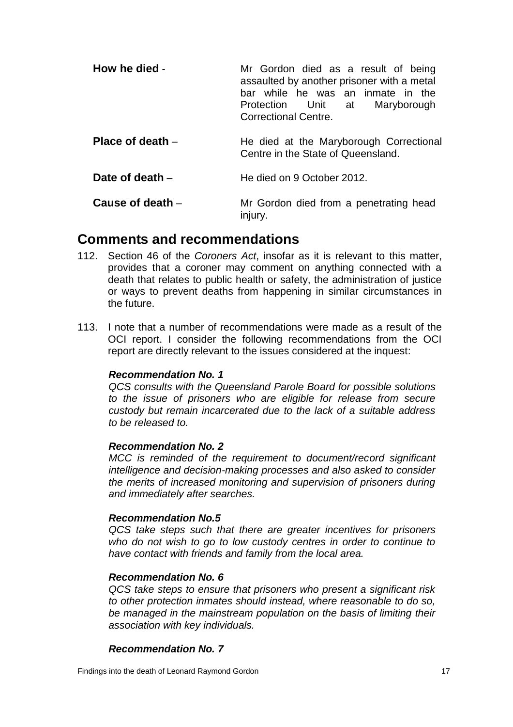<span id="page-18-1"></span><span id="page-18-0"></span>

| How he died -      | Mr Gordon died as a result of being<br>assaulted by another prisoner with a metal<br>bar while he was an inmate in the<br>Protection Unit at<br>Maryborough<br>Correctional Centre. |
|--------------------|-------------------------------------------------------------------------------------------------------------------------------------------------------------------------------------|
| Place of death $-$ | He died at the Maryborough Correctional<br>Centre in the State of Queensland.                                                                                                       |
| Date of death $-$  | He died on 9 October 2012.                                                                                                                                                          |
| Cause of death -   | Mr Gordon died from a penetrating head<br>injury.                                                                                                                                   |

# <span id="page-18-4"></span><span id="page-18-3"></span><span id="page-18-2"></span>**Comments and recommendations**

- 112. Section 46 of the *Coroners Act*, insofar as it is relevant to this matter, provides that a coroner may comment on anything connected with a death that relates to public health or safety, the administration of justice or ways to prevent deaths from happening in similar circumstances in the future.
- 113. I note that a number of recommendations were made as a result of the OCI report. I consider the following recommendations from the OCI report are directly relevant to the issues considered at the inquest:

### *Recommendation No. 1*

*QCS consults with the Queensland Parole Board for possible solutions to the issue of prisoners who are eligible for release from secure custody but remain incarcerated due to the lack of a suitable address to be released to.*

#### *Recommendation No. 2*

*MCC is reminded of the requirement to document/record significant intelligence and decision-making processes and also asked to consider the merits of increased monitoring and supervision of prisoners during and immediately after searches.*

#### *Recommendation No.5*

*QCS take steps such that there are greater incentives for prisoners who do not wish to go to low custody centres in order to continue to have contact with friends and family from the local area.*

#### *Recommendation No. 6*

*QCS take steps to ensure that prisoners who present a significant risk to other protection inmates should instead, where reasonable to do so, be managed in the mainstream population on the basis of limiting their association with key individuals.* 

#### *Recommendation No. 7*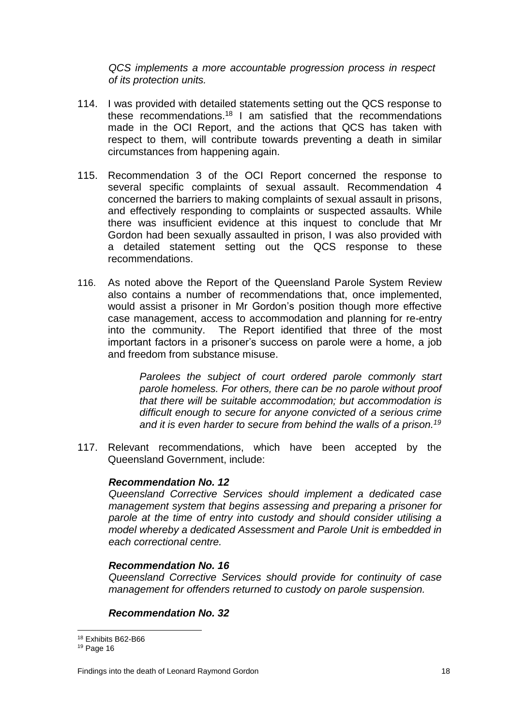*QCS implements a more accountable progression process in respect of its protection units.*

- 114. I was provided with detailed statements setting out the QCS response to these recommendations.<sup>18</sup> I am satisfied that the recommendations made in the OCI Report, and the actions that QCS has taken with respect to them, will contribute towards preventing a death in similar circumstances from happening again.
- 115. Recommendation 3 of the OCI Report concerned the response to several specific complaints of sexual assault. Recommendation 4 concerned the barriers to making complaints of sexual assault in prisons, and effectively responding to complaints or suspected assaults. While there was insufficient evidence at this inquest to conclude that Mr Gordon had been sexually assaulted in prison, I was also provided with a detailed statement setting out the QCS response to these recommendations.
- 116. As noted above the Report of the Queensland Parole System Review also contains a number of recommendations that, once implemented, would assist a prisoner in Mr Gordon's position though more effective case management, access to accommodation and planning for re-entry into the community. The Report identified that three of the most important factors in a prisoner's success on parole were a home, a job and freedom from substance misuse.

*Parolees the subject of court ordered parole commonly start parole homeless. For others, there can be no parole without proof that there will be suitable accommodation; but accommodation is difficult enough to secure for anyone convicted of a serious crime and it is even harder to secure from behind the walls of a prison.<sup>19</sup>*

117. Relevant recommendations, which have been accepted by the Queensland Government, include:

#### *Recommendation No. 12*

*Queensland Corrective Services should implement a dedicated case management system that begins assessing and preparing a prisoner for parole at the time of entry into custody and should consider utilising a model whereby a dedicated Assessment and Parole Unit is embedded in each correctional centre.*

#### *Recommendation No. 16*

*Queensland Corrective Services should provide for continuity of case management for offenders returned to custody on parole suspension.*

### *Recommendation No. 32*

<sup>18</sup> Exhibits B62-B66

<sup>19</sup> Page 16